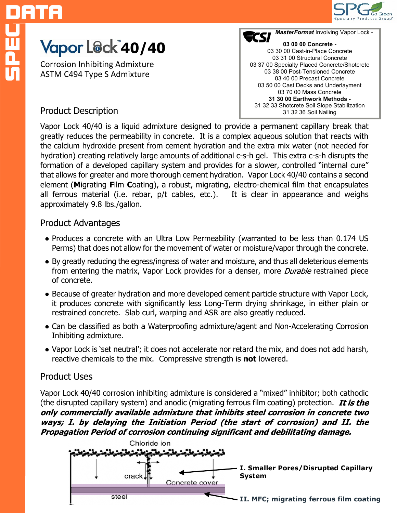

# **Yapor L®ck 40/40**

Corrosion Inhibiting Admixture ASTM C494 Type S Admixture



## Product Description

Vapor Lock 40/40 is a liquid admixture designed to provide a permanent capillary break that greatly reduces the permeability in concrete. It is a complex aqueous solution that reacts with the calcium hydroxide present from cement hydration and the extra mix water (not needed for hydration) creating relatively large amounts of additional c-s-h gel. This extra c-s-h disrupts the formation of a developed capillary system and provides for a slower, controlled "internal cure" that allows for greater and more thorough cement hydration. Vapor Lock 40/40 contains a second element (**M**igrating **F**ilm **C**oating), a robust, migrating, electro-chemical film that encapsulates all ferrous material (i.e. rebar, p/t cables, etc.). It is clear in appearance and weighs approximately 9.8 lbs./gallon.

### Product Advantages

- Produces a concrete with an Ultra Low Permeability (warranted to be less than 0.174 US Perms) that does not allow for the movement of water or moisture/vapor through the concrete.
- By greatly reducing the egress/ingress of water and moisture, and thus all deleterious elements from entering the matrix, Vapor Lock provides for a denser, more *Durable* restrained piece of concrete.
- Because of greater hydration and more developed cement particle structure with Vapor Lock, it produces concrete with significantly less Long-Term drying shrinkage, in either plain or restrained concrete. Slab curl, warping and ASR are also greatly reduced.
- Can be classified as both a Waterproofing admixture/agent and Non-Accelerating Corrosion Inhibiting admixture.
- Vapor Lock is 'set neutral'; it does not accelerate nor retard the mix, and does not add harsh, reactive chemicals to the mix. Compressive strength is **not** lowered.

## Product Uses

Vapor Lock 40/40 corrosion inhibiting admixture is considered a "mixed" inhibitor; both cathodic (the disrupted capillary system) and anodic (migrating ferrous film coating) protection. It is the only commercially available admixture that inhibits steel corrosion in concrete two ways; I. by delaying the Initiation Period (the start of corrosion) and II. the Propagation Period of corrosion continuing significant and debilitating damage.

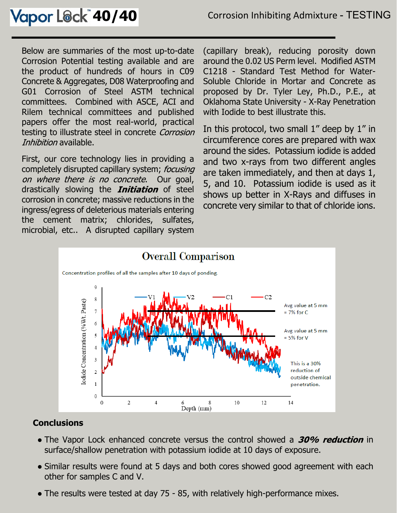Below are summaries of the most up-to-date Corrosion Potential testing available and are the product of hundreds of hours in C09 Concrete & Aggregates, D08 Waterproofing and G01 Corrosion of Steel ASTM technical committees. Combined with ASCE, ACI and Rilem technical committees and published papers offer the most real-world, practical testing to illustrate steel in concrete Corrosion Inhibition available.

First, our core technology lies in providing a completely disrupted capillary system; focusing on where there is no concrete. Our goal, drastically slowing the *Initiation* of steel corrosion in concrete; massive reductions in the ingress/egress of deleterious materials entering the cement matrix; chlorides, sulfates, microbial, etc.. A disrupted capillary system

(capillary break), reducing porosity down around the 0.02 US Perm level. Modified ASTM C1218 - Standard Test Method for Water-Soluble Chloride in Mortar and Concrete as proposed by Dr. Tyler Ley, Ph.D., P.E., at Oklahoma State University - X-Ray Penetration with Iodide to best illustrate this.

In this protocol, two small 1" deep by 1" in circumference cores are prepared with wax around the sides. Potassium iodide is added and two x-rays from two different angles are taken immediately, and then at days 1, 5, and 10. Potassium iodide is used as it shows up better in X-Rays and diffuses in concrete very similar to that of chloride ions.



## **Conclusions**

- The Vapor Lock enhanced concrete versus the control showed a 30% reduction in surface/shallow penetration with potassium iodide at 10 days of exposure.
- Similar results were found at 5 days and both cores showed good agreement with each other for samples C and V.
- The results were tested at day 75 85, with relatively high-performance mixes.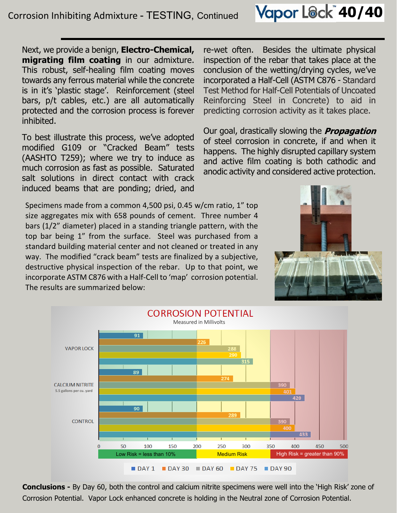Next, we provide a benign, **Electro-Chemical, migrating film coating** in our admixture. This robust, self-healing film coating moves towards any ferrous material while the concrete is in it's 'plastic stage'. Reinforcement (steel bars, p/t cables, etc.) are all automatically protected and the corrosion process is forever inhibited.

To best illustrate this process, we've adopted modified G109 or "Cracked Beam" tests (AASHTO T259); where we try to induce as much corrosion as fast as possible. Saturated salt solutions in direct contact with crack induced beams that are ponding; dried, and

re-wet often. Besides the ultimate physical inspection of the rebar that takes place at the conclusion of the wetting/drying cycles, we've incorporated a Half-Cell (ASTM C876 - Standard Test Method for Half-Cell Potentials of Uncoated Reinforcing Steel in Concrete) to aid in predicting corrosion activity as it takes place.

Our goal, drastically slowing the **Propagation** of steel corrosion in concrete, if and when it happens. The highly disrupted capillary system and active film coating is both cathodic and anodic activity and considered active protection.

Specimens made from a common 4,500 psi, 0.45 w/cm ratio, 1" top size aggregates mix with 658 pounds of cement. Three number 4 bars (1/2" diameter) placed in a standing triangle pattern, with the top bar being 1" from the surface. Steel was purchased from a standard building material center and not cleaned or treated in any way. The modified "crack beam" tests are finalized by a subjective, destructive physical inspection of the rebar. Up to that point, we incorporate ASTM C876 with a Half-Cell to 'map' corrosion potential. The results are summarized below:





**Conclusions -** By Day 60, both the control and calcium nitrite specimens were well into the 'High Risk' zone of Corrosion Potential. Vapor Lock enhanced concrete is holding in the Neutral zone of Corrosion Potential.